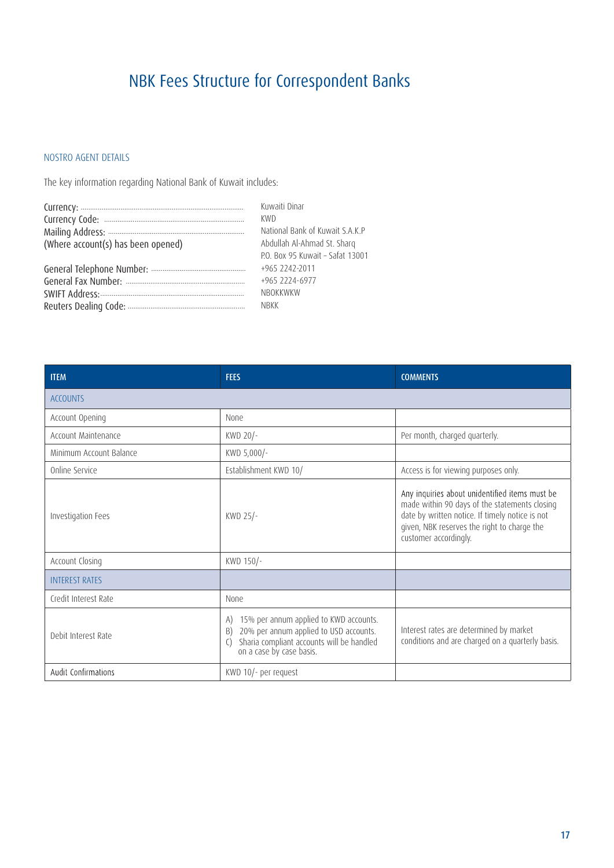## NBK Fees Structure for Correspondent Banks

## NOSTRO AGENT DETAILS

The key information regarding National Bank of Kuwait includes:

|                                    | Kuwaiti Dinar                    |
|------------------------------------|----------------------------------|
|                                    | KWD                              |
|                                    | National Bank of Kuwait S.A.K.P  |
| (Where account(s) has been opened) | Abdullah Al-Ahmad St. Sharq      |
|                                    | P.O. Box 95 Kuwait - Safat 13001 |
|                                    | +965 2242-2011                   |
|                                    | +965 2224-6977                   |
|                                    | <b>NBOKKWKW</b>                  |
|                                    | NBKK                             |

| <b>ITEM</b>             | <b>FEES</b>                                                                                                                                                                              | <b>COMMENTS</b>                                                                                                                                                                                                            |
|-------------------------|------------------------------------------------------------------------------------------------------------------------------------------------------------------------------------------|----------------------------------------------------------------------------------------------------------------------------------------------------------------------------------------------------------------------------|
| <b>ACCOUNTS</b>         |                                                                                                                                                                                          |                                                                                                                                                                                                                            |
| Account Opening         | <b>None</b>                                                                                                                                                                              |                                                                                                                                                                                                                            |
| Account Maintenance     | KWD 20/-                                                                                                                                                                                 | Per month, charged quarterly.                                                                                                                                                                                              |
| Minimum Account Balance | KWD 5,000/-                                                                                                                                                                              |                                                                                                                                                                                                                            |
| Online Service          | Establishment KWD 10/                                                                                                                                                                    | Access is for viewing purposes only.                                                                                                                                                                                       |
| Investigation Fees      | KWD 25/-                                                                                                                                                                                 | Any inquiries about unidentified items must be<br>made within 90 days of the statements closing<br>date by written notice. If timely notice is not<br>given, NBK reserves the right to charge the<br>customer accordingly. |
| Account Closing         | KWD 150/-                                                                                                                                                                                |                                                                                                                                                                                                                            |
| <b>INTEREST RATES</b>   |                                                                                                                                                                                          |                                                                                                                                                                                                                            |
| Credit Interest Rate    | <b>None</b>                                                                                                                                                                              |                                                                                                                                                                                                                            |
| Debit Interest Rate     | 15% per annum applied to KWD accounts.<br>A)<br>20% per annum applied to USD accounts.<br>B)<br>Sharia compliant accounts will be handled<br>$\left(\right)$<br>on a case by case basis. | Interest rates are determined by market<br>conditions and are charged on a quarterly basis.                                                                                                                                |
| Audit Confirmations     | KWD 10/- per request                                                                                                                                                                     |                                                                                                                                                                                                                            |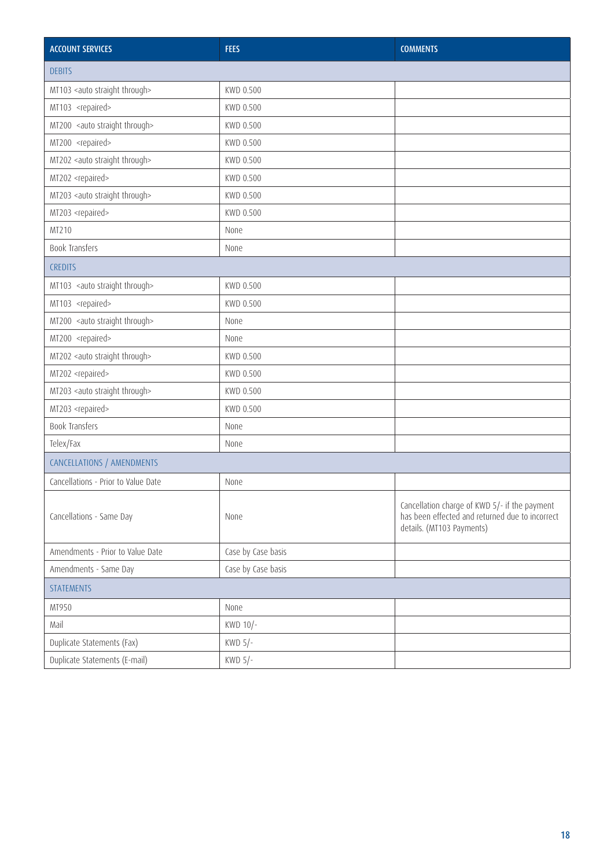| <b>ACCOUNT SERVICES</b>                    | <b>FEES</b>        | <b>COMMENTS</b>                                                                                                               |
|--------------------------------------------|--------------------|-------------------------------------------------------------------------------------------------------------------------------|
| <b>DEBITS</b>                              |                    |                                                                                                                               |
| MT103 <auto straight="" through=""></auto> | KWD 0.500          |                                                                                                                               |
| MT103 <repaired></repaired>                | KWD 0.500          |                                                                                                                               |
| MT200 <auto straight="" through=""></auto> | KWD 0.500          |                                                                                                                               |
| MT200 <repaired></repaired>                | KWD 0.500          |                                                                                                                               |
| MT202 <auto straight="" through=""></auto> | KWD 0.500          |                                                                                                                               |
| MT202 <repaired></repaired>                | KWD 0.500          |                                                                                                                               |
| MT203 <auto straight="" through=""></auto> | KWD 0.500          |                                                                                                                               |
| MT203 <repaired></repaired>                | KWD 0.500          |                                                                                                                               |
| MT210                                      | None               |                                                                                                                               |
| Book Transfers                             | None               |                                                                                                                               |
| <b>CREDITS</b>                             |                    |                                                                                                                               |
| MT103 <auto straight="" through=""></auto> | KWD 0.500          |                                                                                                                               |
| MT103 <repaired></repaired>                | KWD 0.500          |                                                                                                                               |
| MT200 <auto straight="" through=""></auto> | None               |                                                                                                                               |
| MT200 <repaired></repaired>                | None               |                                                                                                                               |
| MT202 <auto straight="" through=""></auto> | KWD 0.500          |                                                                                                                               |
| MT202 <repaired></repaired>                | KWD 0.500          |                                                                                                                               |
| MT203 <auto straight="" through=""></auto> | KWD 0.500          |                                                                                                                               |
| MT203 <repaired></repaired>                | KWD 0.500          |                                                                                                                               |
| <b>Book Transfers</b>                      | None               |                                                                                                                               |
| Telex/Fax                                  | None               |                                                                                                                               |
| CANCELLATIONS / AMENDMENTS                 |                    |                                                                                                                               |
| Cancellations - Prior to Value Date        | None               |                                                                                                                               |
| Cancellations - Same Day                   | None               | Cancellation charge of KWD 5/- if the payment<br>has been effected and returned due to incorrect<br>details. (MT103 Payments) |
| Amendments - Prior to Value Date           | Case by Case basis |                                                                                                                               |
| Amendments - Same Day                      | Case by Case basis |                                                                                                                               |
| <b>STATEMENTS</b>                          |                    |                                                                                                                               |
| MT950                                      | None               |                                                                                                                               |
| Mail                                       | KWD 10/-           |                                                                                                                               |
| Duplicate Statements (Fax)                 | KWD $5/-$          |                                                                                                                               |
| Duplicate Statements (E-mail)              | KWD $5/-$          |                                                                                                                               |